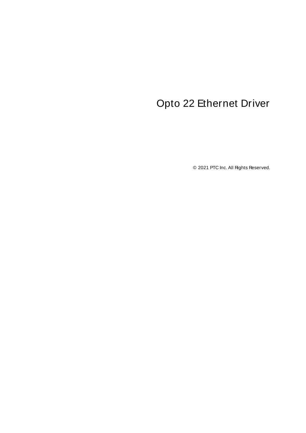# <span id="page-0-0"></span>Opto 22 Ethernet Driver

© 2021 PTC Inc. All Rights Reserved.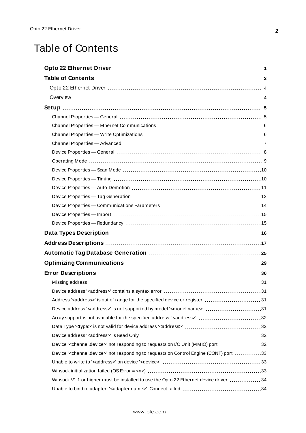# <span id="page-1-0"></span>Table of Contents

| Address' <address>' is out of range for the specified device or register  31<br/>Device address '<address>' is not supported by model '<model name="">' 31</model></address></address> |  |
|----------------------------------------------------------------------------------------------------------------------------------------------------------------------------------------|--|
|                                                                                                                                                                                        |  |
|                                                                                                                                                                                        |  |
|                                                                                                                                                                                        |  |
| Device ' <channel.device>' not responding to requests on I/O Unit (MMIO) port 32</channel.device>                                                                                      |  |
| Device ' <channel.device>' not responding to requests on Control Engine (CONT) port 33</channel.device>                                                                                |  |
|                                                                                                                                                                                        |  |
|                                                                                                                                                                                        |  |
| Winsock V1.1 or higher must be installed to use the Opto 22 Ethernet device driver  34                                                                                                 |  |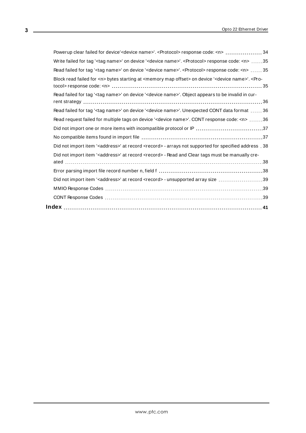| Powerup clear failed for device' <device name="">'. <protocol> response code: <n>  34</n></protocol></device>                                            |  |
|----------------------------------------------------------------------------------------------------------------------------------------------------------|--|
| Write failed for tag ' <tag name="">' on device '<device name="">'. <protocol> response code: <n> 35</n></protocol></device></tag>                       |  |
| Read failed for tag ' <tag name="">' on device '<device name="">'. <protocol> response code: <n>  35</n></protocol></device></tag>                       |  |
| Block read failed for <n> bytes starting at <memory map="" offset=""> on device '<device name="">'. <pro-< td=""><td></td></pro-<></device></memory></n> |  |
| Read failed for tag ' <tag name="">' on device '<device name="">'. Object appears to be invalid in cur-</device></tag>                                   |  |
| Read failed for tag ' <tag name="">' on device '<device name="">'. Unexpected CONT data format  36</device></tag>                                        |  |
| Read request failed for multiple tags on device ' <device name="">'. CONT response code: <n> 36</n></device>                                             |  |
| Did not import one or more items with incompatible protocol or IP 37                                                                                     |  |
|                                                                                                                                                          |  |
| Did not import item ' <address>' at record <record> - arrays not supported for specified address . 38</record></address>                                 |  |
| Did not import item ' <address>' at record <record> - Read and Clear tags must be manually cre-</record></address>                                       |  |
|                                                                                                                                                          |  |
| Did not import item ' <address>' at record <record> - unsupported array size 39</record></address>                                                       |  |
|                                                                                                                                                          |  |
|                                                                                                                                                          |  |
|                                                                                                                                                          |  |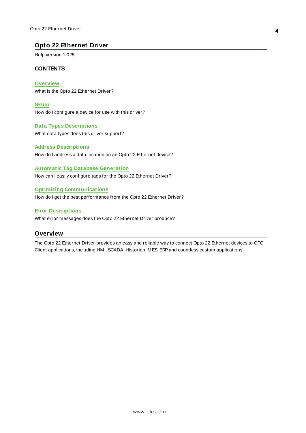### <span id="page-3-0"></span>**Opto 22 Ethernet Driver**

Help version 1.025

### **CONTENTS**

**[Overview](#page-3-1)** What is the Opto 22 Ethernet Driver?

**[Setup](#page-4-0)** How do I configure a device for use with this driver?

### **Data Types [Descriptions](#page-15-0)** What data types does this driver support?

**Address [Descriptions](#page-16-0)** How do I address a data location on an Opto 22 Ethernet device?

#### **Automatic Tag Database [Generation](#page-24-0)**

How can I easily configure tags for the Opto 22 Ethernet Driver?

### **Optimizing [Communications](#page-28-0)**

How do I get the best performance from the Opto 22 Ethernet Driver?

### **Error [Descriptions](#page-29-0)**

<span id="page-3-1"></span>What error messages does the Opto 22 Ethernet Driver produce?

### **Overview**

The Opto 22 Ethernet Driver provides an easy and reliable way to connect Opto 22 Ethernet devices to OPC Client applications, including HMI, SCADA, Historian, MES, ERPand countless custom applications.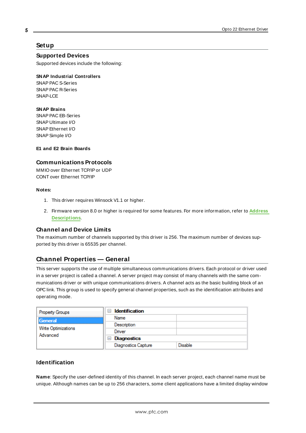### <span id="page-4-0"></span>**Setup**

**Supported Devices**

Supported devices include the following:

#### **SNAP Industrial Controllers**

SNAP PAC S-Series SNAP PAC R-Series SNAP-LCE

#### **SNAP Brains**

SNAP PAC EB-Series SNAP Ultimate I/O SNAPEthernet I/O SNAPSimple I/O

**E1 and E2 Brain Boards**

#### **Communications Protocols**

MMIO over Ethernet TCP/IP or UDP CONT over Ethernet TCP/IP

#### **Notes:**

- 1. This driver requires Winsock V1.1 or higher.
- 2. Firmware version 8.0 or higher is required for some features. For more information, refer to **[Address](#page-16-0) [Descriptions](#page-16-0)**.

### **Channel and Device Limits**

The maximum number of channels supported by this driver is 256. The maximum number of devices supported by this driver is 65535 per channel.

### <span id="page-4-1"></span>**Channel Properties — General**

This server supports the use of multiple simultaneous communications drivers. Each protocol or driver used in a server project is called a channel. A server project may consist of many channels with the same communications driver or with unique communications drivers. A channel acts as the basic building block of an OPC link. This group is used to specify general channel properties, such as the identification attributes and operating mode.

| <b>Property Groups</b> | <b>Identification</b><br>$\overline{\phantom{a}}$ |                |
|------------------------|---------------------------------------------------|----------------|
| General                | Name                                              |                |
| Write Optimizations    | Description                                       |                |
|                        | Driver                                            |                |
| Advanced               | Diagnostics<br>$\overline{}$                      |                |
|                        | <b>Diagnostics Capture</b>                        | <b>Disable</b> |

### **Identification**

**Name**: Specify the user-defined identity of this channel. In each server project, each channel name must be unique. Although names can be up to 256 characters, some client applications have a limited display window

**5**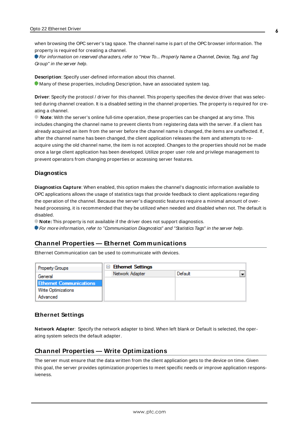when browsing the OPC server's tag space. The channel name is part of the OPC browser information. The property is required for creating a channel.

For information on reserved characters, refer to "How To... Properly Name a Channel, Device, Tag, and Tag Group" in the server help.

**Description**: Specify user-defined information about this channel. Many of these properties, including Description, have an associated system tag.

**Driver**: Specify the protocol / driver for this channel. This property specifies the device driver that was selected during channel creation. It is a disabled setting in the channel properties. The property is required for creating a channel.

**Note**: With the server's online full-time operation, these properties can be changed at any time. This includes changing the channel name to prevent clients from registering data with the server. If a client has already acquired an item from the server before the channel name is changed, the items are unaffected. If, after the channel name has been changed, the client application releases the item and attempts to reacquire using the old channel name, the item is not accepted. Changes to the properties should not be made once a large client application has been developed. Utilize proper user role and privilege management to prevent operators from changing properties or accessing server features.

### **Diagnostics**

**Diagnostics Capture**: When enabled, this option makes the channel's diagnostic information available to OPC applications allows the usage of statistics tags that provide feedback to client applications regarding the operation of the channel. Because the server's diagnostic features require a minimal amount of overhead processing, it is recommended that they be utilized when needed and disabled when not. The default is disabled.

**Note:** This property is not available if the driver does not support diagnostics.

<span id="page-5-0"></span>For more information, refer to "Communication Diagnostics" and "Statistics Tags" in the server help.

### **Channel Properties — Ethernet Communications**

Ethernet Communication can be used to communicate with devices.

| <b>Property Groups</b>         | $\Box$ Ethernet Settings |         |  |
|--------------------------------|--------------------------|---------|--|
| General                        | Network Adapter          | Default |  |
| <b>Ethernet Communications</b> |                          |         |  |
| <b>Write Optimizations</b>     |                          |         |  |
| Advanced                       |                          |         |  |

#### **Ethernet Settings**

**Network Adapter**: Specify the network adapter to bind. When left blank or Default is selected, the operating system selects the default adapter.

### <span id="page-5-1"></span>**Channel Properties — Write Optimizations**

The server must ensure that the data written from the client application gets to the device on time. Given this goal, the server provides optimization properties to meet specific needs or improve application responsiveness.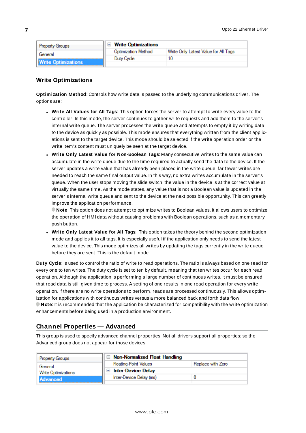| <b>Property Groups</b>     | <b>Write Optimizations</b> |                                      |
|----------------------------|----------------------------|--------------------------------------|
| General                    | <b>Optimization Method</b> | Write Only Latest Value for All Tags |
|                            | Duty Cycle                 |                                      |
| <b>Write Optimizations</b> |                            |                                      |

### **Write Optimizations**

**Optimization Method**: Controls how write data is passed to the underlying communications driver. The options are:

- <sup>l</sup> **Write All Values for All Tags**: This option forces the server to attempt to write every value to the controller. In this mode, the server continues to gather write requests and add them to the server's internal write queue. The server processes the write queue and attempts to empty it by writing data to the device as quickly as possible. This mode ensures that everything written from the client applications is sent to the target device. This mode should be selected if the write operation order or the write item's content must uniquely be seen at the target device.
- <sup>l</sup> **Write Only Latest Value for Non-Boolean Tags**: Many consecutive writes to the same value can accumulate in the write queue due to the time required to actually send the data to the device. If the server updates a write value that has already been placed in the write queue, far fewer writes are needed to reach the same final output value. In this way, no extra writes accumulate in the server's queue. When the user stops moving the slide switch, the value in the device is at the correct value at virtually the same time. As the mode states, any value that is not a Boolean value is updated in the server's internal write queue and sent to the device at the next possible opportunity. This can greatly improve the application performance.

**Note**: This option does not attempt to optimize writes to Boolean values. It allows users to optimize the operation of HMI data without causing problems with Boolean operations, such as a momentary push button.

**• Write Only Latest Value for All Tags**: This option takes the theory behind the second optimization mode and applies it to all tags. It is especially useful if the application only needs to send the latest value to the device. This mode optimizes all writes by updating the tags currently in the write queue before they are sent. This is the default mode.

**Duty Cycle**: is used to control the ratio of write to read operations. The ratio is always based on one read for every one to ten writes. The duty cycle is set to ten by default, meaning that ten writes occur for each read operation. Although the application is performing a large number of continuous writes, it must be ensured that read data is still given time to process. A setting of one results in one read operation for every write operation. If there are no write operations to perform, reads are processed continuously. This allows optimization for applications with continuous writes versus a more balanced back and forth data flow. **Note**: It is recommended that the application be characterized for compatibility with the write optimization enhancements before being used in a production environment.

### <span id="page-6-0"></span>**Channel Properties — Advanced**

This group is used to specify advanced channel properties. Not all drivers support all properties; so the Advanced group does not appear for those devices.

| <b>Property Groups</b> | $\Box$ Non-Normalized Float Handling |                   |
|------------------------|--------------------------------------|-------------------|
| General                | <b>Floating-Point Values</b>         | Replace with Zero |
| Write Optimizations    | <b>Inter-Device Delay</b>            |                   |
| Advanced               | Inter-Device Delay (ms)              |                   |
|                        |                                      |                   |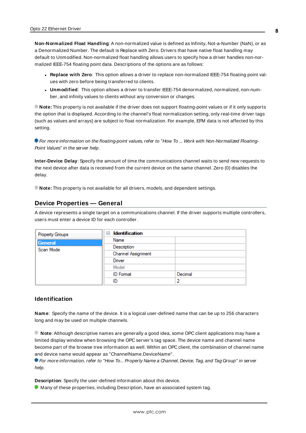**Non-Normalized Float Handling**: A non-normalized value is defined as Infinity, Not-a-Number (NaN), or as a Denormalized Number. The default is Replace with Zero. Drivers that have native float handling may default to Unmodified. Non-normalized float handling allows users to specify how a driver handles non-normalized IEEE-754 floating point data. Descriptions of the options are as follows:

- <sup>l</sup> **Replace with Zero**: This option allows a driver to replace non-normalized IEEE-754 floating point values with zero before being transferred to clients.
- <sup>l</sup> **Unmodified**: This option allows a driver to transfer IEEE-754 denormalized, normalized, non-number, and infinity values to clients without any conversion or changes.

**Note:** This property is not available if the driver does not support floating-point values or if it only supports the option that is displayed. According to the channel's float normalization setting, only real-time driver tags (such as values and arrays) are subject to float normalization. For example, EFM data is not affected by this setting.

**For more information on the floating-point values, refer to "How To ... Work with Non-Normalized Floating-**Point Values" in the server help.

**Inter-Device Delay**: Specify the amount of time the communications channel waits to send new requests to the next device after data is received from the current device on the same channel. Zero (0) disables the delay.

<span id="page-7-0"></span>**Note:** This property is not available for all drivers, models, and dependent settings.

### **Device Properties — General**

A device represents a single target on a communications channel. If the driver supports multiple controllers, users must enter a device ID for each controller.

| Property Groups | <b>Identification</b><br>8 |         |
|-----------------|----------------------------|---------|
| General         | Name                       |         |
| Scan Mode       | Description                |         |
|                 | Channel Assignment         |         |
|                 | Driver                     |         |
|                 | Model                      |         |
|                 | <b>ID</b> Format           | Decimal |
|                 | ID                         | っ       |

### <span id="page-7-1"></span>**Identification**

**Name**: Specify the name of the device. It is a logical user-defined name that can be up to 256 characters long and may be used on multiple channels.

**Note**: Although descriptive names are generally a good idea, some OPC client applications may have a limited display window when browsing the OPC server's tag space. The device name and channel name become part of the browse tree information as well. Within an OPC client, the combination of channel name and device name would appear as "ChannelName.DeviceName".

For more information, refer to "How To... Properly Name a Channel, Device, Tag, and Tag Group" in server help.

**Description**: Specify the user-defined information about this device.

**Many of these properties, including Description, have an associated system tag.**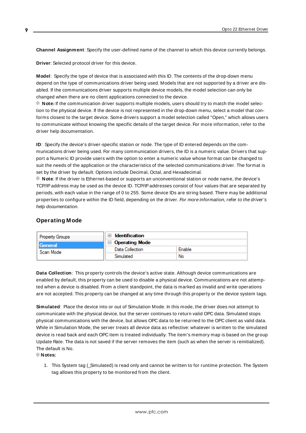<span id="page-8-3"></span><span id="page-8-1"></span>**Channel Assignment**: Specify the user-defined name of the channel to which this device currently belongs.

<span id="page-8-5"></span>**Driver**: Selected protocol driver for this device.

**Model**: Specify the type of device that is associated with this ID. The contents of the drop-down menu depend on the type of communications driver being used. Models that are not supported by a driver are disabled. If the communications driver supports multiple device models, the model selection can only be changed when there are no client applications connected to the device.

**Note:** If the communication driver supports multiple models, users should try to match the model selection to the physical device. If the device is not represented in the drop-down menu, select a model that conforms closest to the target device. Some drivers support a model selection called "Open," which allows users to communicate without knowing the specific details of the target device. For more information, refer to the driver help documentation.

<span id="page-8-4"></span>**ID**: Specify the device's driver-specific station or node. The type of ID entered depends on the communications driver being used. For many communication drivers, the ID is a numeric value. Drivers that support a Numeric ID provide users with the option to enter a numeric value whose format can be changed to suit the needs of the application or the characteristics of the selected communications driver. The format is set by the driver by default. Options include Decimal, Octal, and Hexadecimal.

**Note**: If the driver is Ethernet-based or supports an unconventional station or node name, the device's TCP/IPaddress may be used as the device ID. TCP/IPaddresses consist of four values that are separated by periods, with each value in the range of 0 to 255. Some device IDs are string based. There may be additional properties to configure within the ID field, depending on the driver. For more information, refer to the driver's help documentation.

### <span id="page-8-0"></span>**Operating Mode**

| <b>Property Groups</b> | Identification        |        |
|------------------------|-----------------------|--------|
| General<br>Scan Mode   | $\Box$ Operating Mode |        |
|                        | Data Collection       | Enable |
|                        | Simulated             | No     |

<span id="page-8-2"></span>**Data Collection**: This property controls the device's active state. Although device communications are enabled by default, this property can be used to disable a physical device. Communications are not attempted when a device is disabled. From a client standpoint, the data is marked as invalid and write operations are not accepted. This property can be changed at any time through this property or the device system tags.

<span id="page-8-6"></span>**Simulated**: Place the device into or out of Simulation Mode. In this mode, the driver does not attempt to communicate with the physical device, but the server continues to return valid OPC data. Simulated stops physical communications with the device, but allows OPC data to be returned to the OPC client as valid data. While in Simulation Mode, the server treats all device data as reflective: whatever is written to the simulated device is read back and each OPC item is treated individually. The item's memory map is based on the group Update Rate. The data is not saved if the server removes the item (such as when the server is reinitialized). The default is No.

**Notes:**

1. This System tag (\_Simulated) is read only and cannot be written to for runtime protection. The System tag allows this property to be monitored from the client.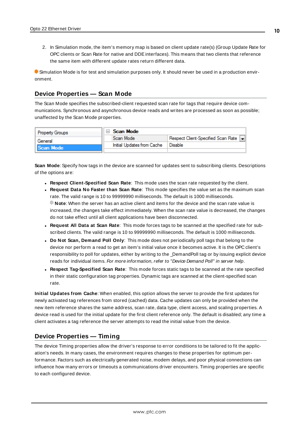2. In Simulation mode, the item's memory map is based on client update rate(s) (Group Update Rate for OPC clients or Scan Rate for native and DDEinterfaces). This means that two clients that reference the same item with different update rates return different data.

 Simulation Mode is for test and simulation purposes only. It should never be used in a production environment.

### <span id="page-9-0"></span>**Device Properties — Scan Mode**

The Scan Mode specifies the subscribed-client requested scan rate for tags that require device communications. Synchronous and asynchronous device reads and writes are processed as soon as possible; unaffected by the Scan Mode properties.

| <b>Property Groups</b> | Scan Mode                  |                                       |
|------------------------|----------------------------|---------------------------------------|
| General                | Scan Mode                  | Respect Client-Specified Scan Rate  - |
| Scan Mode              | Initial Updates from Cache | Disable                               |
|                        |                            |                                       |

<span id="page-9-6"></span>**Scan Mode**: Specify how tags in the device are scanned for updates sent to subscribing clients. Descriptions of the options are:

- <sup>l</sup> **Respect Client-Specified Scan Rate**: This mode uses the scan rate requested by the client.
- <sup>l</sup> **Request Data No Faster than Scan Rate**: This mode specifies the value set as the maximum scan rate. The valid range is 10 to 99999990 milliseconds. The default is 1000 milliseconds. **Note**: When the server has an active client and items for the device and the scan rate value is increased, the changes take effect immediately. When the scan rate value is decreased, the changes do not take effect until all client applications have been disconnected.
- <sup>l</sup> **Request All Data at Scan Rate**: This mode forces tags to be scanned at the specified rate for subscribed clients. The valid range is 10 to 99999990 milliseconds. The default is 1000 milliseconds.
- <span id="page-9-3"></span><sup>l</sup> **Do Not Scan, Demand Poll Only**: This mode does not periodically poll tags that belong to the device nor perform a read to get an item's initial value once it becomes active. It is the OPC client's responsibility to poll for updates, either by writing to the \_DemandPoll tag or by issuing explicit device reads for individual items. For more information, refer to "Device Demand Poll" in server help.
- <span id="page-9-5"></span><sup>l</sup> **Respect Tag-Specified Scan Rate**: This mode forces static tags to be scanned at the rate specified in their static configuration tag properties. Dynamic tags are scanned at the client-specified scan rate.

<span id="page-9-4"></span>**Initial Updates from Cache**: When enabled, this option allows the server to provide the first updates for newly activated tag references from stored (cached) data. Cache updates can only be provided when the new item reference shares the same address, scan rate, data type, client access, and scaling properties. A device read is used for the initial update for the first client reference only. The default is disabled; any time a client activates a tag reference the server attempts to read the initial value from the device.

### <span id="page-9-2"></span><span id="page-9-1"></span>**Device Properties — Timing**

The device Timing properties allow the driver's response to error conditions to be tailored to fit the application's needs. In many cases, the environment requires changes to these properties for optimum performance. Factors such as electrically generated noise, modem delays, and poor physical connections can influence how many errors or timeouts a communications driver encounters. Timing properties are specific to each configured device.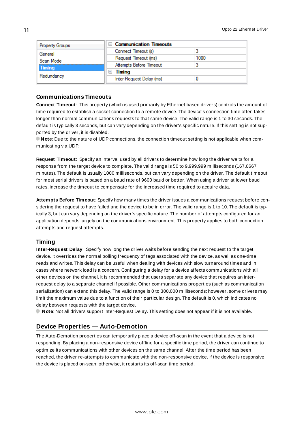| <b>Property Groups</b>         | □ Communication Timeouts |      |
|--------------------------------|--------------------------|------|
| General<br>Scan Mode<br>Timing | Connect Timeout (s)      |      |
|                                | Request Timeout (ms)     | 1000 |
|                                | Attempts Before Timeout  |      |
|                                | Timing                   |      |
| Redundancy                     | Inter-Request Delay (ms) |      |

### <span id="page-10-2"></span>**Communications Timeouts**

**Connect Timeout**: This property (which is used primarily by Ethernet based drivers) controls the amount of time required to establish a socket connection to a remote device. The device's connection time often takes longer than normal communications requests to that same device. The valid range is 1 to 30 seconds. The default is typically 3 seconds, but can vary depending on the driver's specific nature. If this setting is not supported by the driver, it is disabled.

**Note**: Due to the nature of UDPconnections, the connection timeout setting is not applicable when communicating via UDP.

<span id="page-10-4"></span>**Request Timeout**: Specify an interval used by all drivers to determine how long the driver waits for a response from the target device to complete. The valid range is 50 to 9,999,999 milliseconds (167.6667 minutes). The default is usually 1000 milliseconds, but can vary depending on the driver. The default timeout for most serial drivers is based on a baud rate of 9600 baud or better. When using a driver at lower baud rates, increase the timeout to compensate for the increased time required to acquire data.

<span id="page-10-1"></span>**Attempts Before Timeout**: Specify how many times the driver issues a communications request before considering the request to have failed and the device to be in error. The valid range is 1 to 10. The default is typically 3, but can vary depending on the driver's specific nature. The number of attempts configured for an application depends largely on the communications environment. This property applies to both connection attempts and request attempts.

### <span id="page-10-3"></span>**Timing**

**Inter-Request Delay**: Specify how long the driver waits before sending the next request to the target device. It overrides the normal polling frequency of tags associated with the device, as well as one-time reads and writes. This delay can be useful when dealing with devices with slow turnaround times and in cases where network load is a concern. Configuring a delay for a device affects communications with all other devices on the channel. It is recommended that users separate any device that requires an interrequest delay to a separate channel if possible. Other communications properties (such as communication serialization) can extend this delay. The valid range is 0 to 300,000 milliseconds; however, some drivers may limit the maximum value due to a function of their particular design. The default is 0, which indicates no delay between requests with the target device.

<span id="page-10-0"></span>**Note**: Not all drivers support Inter-Request Delay. This setting does not appear if it is not available.

### **Device Properties — Auto-Demotion**

The Auto-Demotion properties can temporarily place a device off-scan in the event that a device is not responding. By placing a non-responsive device offline for a specific time period, the driver can continue to optimize its communications with other devices on the same channel. After the time period has been reached, the driver re-attempts to communicate with the non-responsive device. If the device is responsive, the device is placed on-scan; otherwise, it restarts its off-scan time period.

**11**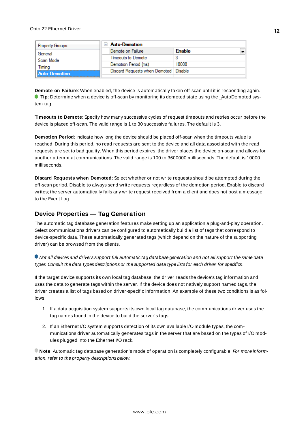|  | <b>Property Groups</b> | <b>Auto-Demotion</b>          |               |  |
|--|------------------------|-------------------------------|---------------|--|
|  | General                | Demote on Failure             | <b>Enable</b> |  |
|  | Scan Mode              | Timeouts to Demote            |               |  |
|  | Timina                 | Demotion Period (ms)          | 10000         |  |
|  | <b>Auto-Demotion</b>   | Discard Requests when Demoted | Disable       |  |
|  |                        |                               |               |  |

<span id="page-11-1"></span>**Demote on Failure**: When enabled, the device is automatically taken off-scan until it is responding again. **Tip**: Determine when a device is off-scan by monitoring its demoted state using the \_AutoDemoted system tag.

<span id="page-11-4"></span>**Timeouts to Demote**: Specify how many successive cycles of request timeouts and retries occur before the device is placed off-scan. The valid range is 1 to 30 successive failures. The default is 3.

<span id="page-11-2"></span>**Demotion Period**: Indicate how long the device should be placed off-scan when the timeouts value is reached. During this period, no read requests are sent to the device and all data associated with the read requests are set to bad quality. When this period expires, the driver places the device on-scan and allows for another attempt at communications. The valid range is 100 to 3600000 milliseconds. The default is 10000 milliseconds.

<span id="page-11-3"></span>**Discard Requests when Demoted**: Select whether or not write requests should be attempted during the off-scan period. Disable to always send write requests regardless of the demotion period. Enable to discard writes; the server automatically fails any write request received from a client and does not post a message to the Event Log.

### <span id="page-11-0"></span>**Device Properties — Tag Generation**

The automatic tag database generation features make setting up an application a plug-and-play operation. Select communications drivers can be configured to automatically build a list of tags that correspond to device-specific data. These automatically generated tags (which depend on the nature of the supporting driver) can be browsed from the clients.

Not all devices and drivers support full automatic tag database generation and not all support the same data types. Consult the data types descriptions or the supported data type lists for each driver for specifics.

If the target device supports its own local tag database, the driver reads the device's tag information and uses the data to generate tags within the server. If the device does not natively support named tags, the driver creates a list of tags based on driver-specific information. An example of these two conditions is as follows:

- 1. If a data acquisition system supports its own local tag database, the communications driver uses the tag names found in the device to build the server's tags.
- 2. If an Ethernet I/O system supports detection of its own available I/O module types, the communications driver automatically generates tags in the server that are based on the types of I/O modules plugged into the Ethernet I/O rack.

**Note:** Automatic tag database generation's mode of operation is completely configurable. For more information, refer to the property descriptions below.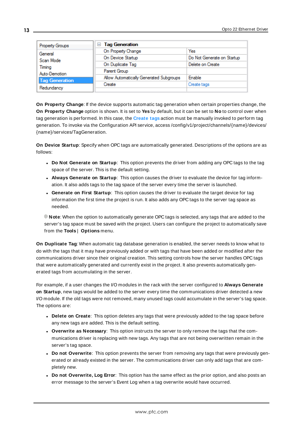| Property Groups                                  | □ Tag Generation                        |                            |  |  |
|--------------------------------------------------|-----------------------------------------|----------------------------|--|--|
| General                                          | On Property Change                      | Yes                        |  |  |
| Scan Mode                                        | On Device Startup                       | Do Not Generate on Startup |  |  |
| Timina<br>Auto-Demotion<br><b>Tag Generation</b> | On Duplicate Tag                        | Delete on Create           |  |  |
|                                                  | Parent Group                            |                            |  |  |
|                                                  | Allow Automatically Generated Subgroups | Enable                     |  |  |
|                                                  | Create                                  | Create tags                |  |  |
| Redundancy                                       |                                         |                            |  |  |

<span id="page-12-4"></span>**On Property Change**: If the device supports automatic tag generation when certain properties change, the **On Property Change** option is shown. It is set to **Yes** by default, but it can be set to **No** to control over when tag generation is performed. In this case, the **Create tags** action must be manually invoked to perform tag generation. To invoke via the Configuration API service, access /config/v1/project/channels/{name}/devices/ {name}/services/TagGeneration.

<span id="page-12-2"></span>**On Device Startup**: Specify when OPC tags are automatically generated. Descriptions of the options are as follows:

- <span id="page-12-1"></span><sup>l</sup> **Do Not Generate on Startup**: This option prevents the driver from adding any OPC tags to the tag space of the server. This is the default setting.
- <sup>l</sup> **Always Generate on Startup**: This option causes the driver to evaluate the device for tag information. It also adds tags to the tag space of the server every time the server is launched.
- <sup>l</sup> **Generate on First Startup**: This option causes the driver to evaluate the target device for tag information the first time the project is run. It also adds any OPC tags to the server tag space as needed.

**Note**: When the option to automatically generate OPC tags is selected, any tags that are added to the server's tag space must be saved with the project. Users can configure the project to automatically save from the **Tools** | **Options** menu.

<span id="page-12-3"></span>**On Duplicate Tag**: When automatic tag database generation is enabled, the server needs to know what to do with the tags that it may have previously added or with tags that have been added or modified after the communications driver since their original creation. This setting controls how the server handles OPC tags that were automatically generated and currently exist in the project. It also prevents automatically generated tags from accumulating in the server.

For example, if a user changes the I/O modules in the rack with the server configured to **Always Generate on Startup**, new tags would be added to the server every time the communications driver detected a new I/O module. If the old tags were not removed, many unused tags could accumulate in the server's tag space. The options are:

- <span id="page-12-0"></span>**• Delete on Create**: This option deletes any tags that were previously added to the tag space before any new tags are added. This is the default setting.
- <span id="page-12-5"></span><sup>l</sup> **Overwrite as Necessary**: This option instructs the server to only remove the tags that the communications driver is replacing with new tags. Any tags that are not being overwritten remain in the server's tag space.
- <sup>l</sup> **Do not Overwrite**: This option prevents the server from removing any tags that were previously generated or already existed in the server. The communications driver can only add tags that are completely new.
- <sup>l</sup> **Do not Overwrite, Log Error**: This option has the same effect as the prior option, and also posts an error message to the server's Event Log when a tag overwrite would have occurred.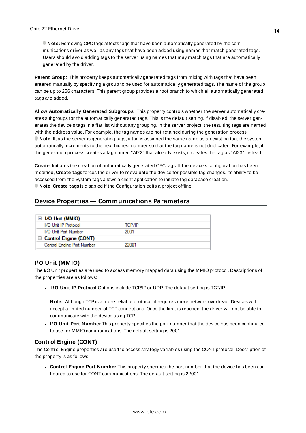**Note:** Removing OPC tags affects tags that have been automatically generated by the communications driver as well as any tags that have been added using names that match generated tags. Users should avoid adding tags to the server using names that may match tags that are automatically generated by the driver.

<span id="page-13-3"></span>**Parent Group**: This property keeps automatically generated tags from mixing with tags that have been entered manually by specifying a group to be used for automatically generated tags. The name of the group can be up to 256 characters. This parent group provides a root branch to which all automatically generated tags are added.

<span id="page-13-1"></span>**Allow Automatically Generated Subgroups**: This property controls whether the server automatically creates subgroups for the automatically generated tags. This is the default setting. If disabled, the server generates the device's tags in a flat list without any grouping. In the server project, the resulting tags are named with the address value. For example, the tag names are not retained during the generation process. **Note**: If, as the server is generating tags, a tag is assigned the same name as an existing tag, the system automatically increments to the next highest number so that the tag name is not duplicated. For example, if the generation process creates a tag named "AI22" that already exists, it creates the tag as "AI23" instead.

<span id="page-13-2"></span>**Create**: Initiates the creation of automatically generated OPC tags. If the device's configuration has been modified, **Create tags** forces the driver to reevaluate the device for possible tag changes. Its ability to be accessed from the System tags allows a client application to initiate tag database creation. **Note**: **Create tags** is disabled if the Configuration edits a project offline.

### <span id="page-13-0"></span>**Device Properties — Communications Parameters**

| $\equiv$ I/O Unit (MMIO)     |        |
|------------------------------|--------|
| I/O Unit IP Protocol         | TCP/IP |
| I/O Unit Port Number         | 2001   |
| $\Box$ Control Engine (CONT) |        |
| Control Engine Port Number   | 22001  |
|                              |        |

### **I/O Unit (MMIO)**

The I/O Unit properties are used to access memory mapped data using the MMIO protocol. Descriptions of the properties are as follows:

**.** I/O Unit IP Protocol Options include TCP/IP or UDP. The default setting is TCP/IP.

**Note:** Although TCPis a more reliable protocol, it requires more network overhead. Devices will accept a limited number of TCP connections. Once the limit is reached, the driver will not be able to communicate with the device using TCP.

**.** I/O Unit Port Number This property specifies the port number that the device has been configured to use for MMIO communications. The default setting is 2001.

### **Control Engine (CONT)**

The Control Engine properties are used to access strategy variables using the CONT protocol. Description of the property is as follows:

<sup>l</sup> **Control Engine Port Number** This property specifies the port number that the device has been configured to use for CONT communications. The default setting is 22001.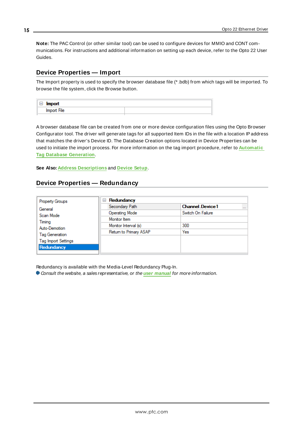**Note:** The PAC Control (or other similar tool) can be used to configure devices for MMIO and CONT communications. For instructions and additional information on setting up each device, refer to the Opto 22 User Guides.

### <span id="page-14-0"></span>**Device Properties — Import**

The Import property is used to specify the browser database file (\* .bdb) from which tags will be imported. To browse the file system, click the Browse button.

| ———<br>import |  |
|---------------|--|
| Import File   |  |

A browser database file can be created from one or more device configuration files using the Opto Browser Configurator tool. The driver will generate tags for all supported Item IDs in the file with a location IPaddress that matches the driver's Device ID. The Database Creation options located in Device Properties can be used to initiate the import process. For more information on the tag import procedure, refer to **[Automatic](#page-24-0) Tag Database [Generation](#page-24-0)**.

<span id="page-14-1"></span>**See Also: Address [Descriptions](#page-16-0)** and **[Device](#page-4-0) Setup**.

### **Device Properties — Redundancy**

| <b>Property Groups</b>     | Redundancy<br>$=$      |                                     |  |  |  |  |  |  |
|----------------------------|------------------------|-------------------------------------|--|--|--|--|--|--|
| General                    | Secondary Path         | <b>Channel Device 1</b><br>$\cdots$ |  |  |  |  |  |  |
| Scan Mode                  | Operating Mode         | Switch On Failure                   |  |  |  |  |  |  |
| Timing                     | Monitor Item           |                                     |  |  |  |  |  |  |
| Auto-Demotion              | Monitor Interval (s)   | 300                                 |  |  |  |  |  |  |
| Tag Generation             | Return to Primary ASAP | Yes                                 |  |  |  |  |  |  |
| <b>Tag Import Settings</b> |                        |                                     |  |  |  |  |  |  |
| Redundancy                 |                        |                                     |  |  |  |  |  |  |

Redundancy is available with the Media-Level Redundancy Plug-In.

Consult the website, a sales representative, or the **user [manual](https://www.kepware.com/getattachment/35461efd-b53a-4219-a109-a89fad20b230/media-level-redundancy-manual.pdf)** for more information.

**15**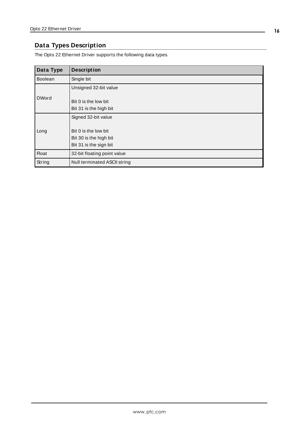# <span id="page-15-0"></span>**Data Types Description**

The Opto 22 Ethernet Driver supports the following data types.

| Data Type      | <b>Description</b>           |
|----------------|------------------------------|
| <b>Boolean</b> | Single bit                   |
|                | Unsigned 32-bit value        |
| <b>DWord</b>   |                              |
|                | Bit 0 is the low bit         |
|                | Bit 31 is the high bit       |
|                | Signed 32-bit value          |
|                |                              |
| Long           | Bit 0 is the low bit         |
|                | Bit 30 is the high bit       |
|                | Bit 31 is the sign bit       |
| <b>Float</b>   | 32-bit floating point value  |
| String         | Null terminated ASCII string |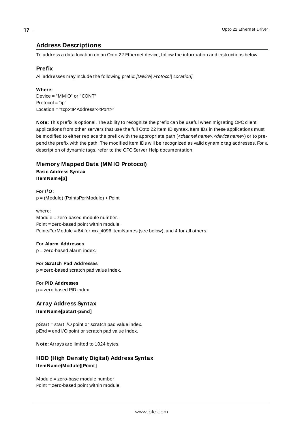### <span id="page-16-0"></span>**Address Descriptions**

To address a data location on an Opto 22 Ethernet device, follow the information and instructions below.

### **Prefix**

All addresses may include the following prefix: [Device] Protocol] Location].

#### **Where:**

Device = "MMIO" or "CONT"  $Protocol = "ip"$ Location = "tcp:<IPAddress>:<Port>"

**Note:** This prefix is optional. The ability to recognize the prefix can be useful when migrating OPC client applications from other servers that use the full Opto 22 Item ID syntax. Item IDs in these applications must be modified to either replace the prefix with the appropriate path (<channel name>.<device name>) or to prepend the prefix with the path. The modified Item IDs will be recognized as valid dynamic tag addresses. For a description of dynamic tags, refer to the OPC Server Help documentation.

### **Memory Mapped Data (MMIO Protocol)**

**Basic Address Syntax ItemName[p]**

**For I/O:** p = (Module) (PointsPerModule) + Point

where: Module = zero-based module number. Point = zero-based point within module. PointsPerModule = 64 for xxx\_4096 ItemNames (see below), and 4 for all others.

#### **For Alarm Addresses**

p = zero-based alarm index.

#### **For Scratch Pad Addresses**

p = zero-based scratch pad value index.

#### **For PID Addresses** p = zero based PID index.

**Array Address Syntax**

**ItemName[pStart-pEnd]**

pStart = start I/O point or scratch pad value index. pEnd = end I/O point or scratch pad value index.

**Note:** Arrays are limited to 1024 bytes.

### **HDD (High Density Digital) Address Syntax ItemName(Module)[Point]**

Module = zero-base module number. Point = zero-based point within module.

**17**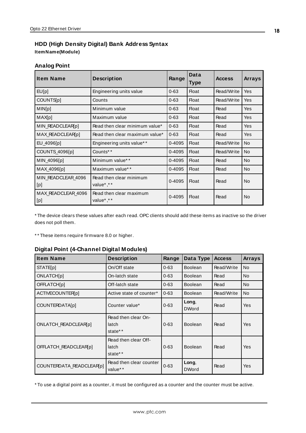### **HDD (High Density Digital) Bank Address Syntax ItemName(Module)**

### **Analog Point**

| <b>Item Name</b>          | <b>Description</b>                   | Range      | Data<br><b>Type</b> | <b>Access</b> | <b>Arrays</b> |
|---------------------------|--------------------------------------|------------|---------------------|---------------|---------------|
| EUIp                      | Engineering units value              | $0 - 63$   | <b>Float</b>        | Read/Write    | <b>Yes</b>    |
| COUNTS[p]                 | Counts                               | $0 - 63$   | <b>Float</b>        | Read/Write    | Yes           |
| MIN[p]                    | Minimum value                        | $0 - 63$   | <b>Float</b>        | Read          | <b>Yes</b>    |
| MAX[p]                    | Maximum value                        | $0 - 63$   | <b>Float</b>        | Read          | <b>Yes</b>    |
| MIN_READCLEAR(p)          | Read then clear minimum value*       | $0 - 63$   | <b>Float</b>        | Read          | <b>Yes</b>    |
| MAX_READCLEAR[p]          | Read then clear maximum value*       | $0 - 63$   | <b>Float</b>        | Read          | <b>Yes</b>    |
| EU_4096[p]                | Engineering units value**            | 0-4095     | <b>Float</b>        | Read/Write    | <b>No</b>     |
| COUNTS_4096[p]            | Counts**                             | 0-4095     | <b>Float</b>        | Read/Write    | <b>No</b>     |
| MIN_4096[p]               | Minimum value**                      | 0-4095     | <b>Float</b>        | Read          | <b>No</b>     |
| MAX_4096[p]               | Maximum value* *                     | 0-4095     | <b>Float</b>        | Read          | <b>No</b>     |
| MIN READCLEAR 4096<br>[p] | Read then clear minimum<br>value*,** | 0-4095     | <b>Float</b>        | Read          | <b>No</b>     |
| MAX READCLEAR 4096<br>[p] | Read then clear maximum<br>value*,** | $0 - 4095$ | <b>Float</b>        | Read          | <b>No</b>     |

\* The device clears these values after each read. OPC clients should add these items as inactive so the driver does not poll them.

\*\* These items require firmware 8.0 or higher.

### **Digital Point (4-Channel Digital Modules)**

| <b>Item Name</b>         | <b>Description</b>                       | Range    | Data Type             | <b>Access</b> | <b>Arrays</b>  |
|--------------------------|------------------------------------------|----------|-----------------------|---------------|----------------|
| <b>STATE[p]</b>          | On/Off state                             | $0 - 63$ | <b>Boolean</b>        | Read/Write    | <b>No</b>      |
| <b>ONLATCH[p]</b>        | On-latch state                           | $0 - 63$ | <b>Boolean</b>        | Read          | N <sub>o</sub> |
| <b>OFFLATCH[p]</b>       | Off-latch state                          | $0 - 63$ | <b>Boolean</b>        | Read          | No.            |
| ACTIVECOUNTER[p]         | Active state of counter*                 | $0 - 63$ | <b>Boolean</b>        | Read/Write    | <b>No</b>      |
| <b>COUNTERDATA[p]</b>    | Counter value*                           | $0 - 63$ | Long,<br><b>DWord</b> | Read          | <b>Yes</b>     |
| ONLATCH_READCLEAR(p)     | Read then clear On-<br>latch<br>state**  | $0 - 63$ | <b>Boolean</b>        | Read          | <b>Yes</b>     |
| OFFLATCH READCLEAR(p)    | Read then clear Off-<br>latch<br>state** | $0 - 63$ | <b>Boolean</b>        | Read          | <b>Yes</b>     |
| COUNTERDATA_READCLEAR(p) | Read then clear counter<br>value**       | $0 - 63$ | Long,<br><b>DWord</b> | Read          | <b>Yes</b>     |

\* To use a digital point as a counter, it must be configured as a counter and the counter must be active.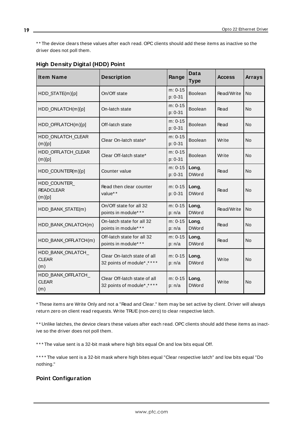\* \* The device clears these values after each read. OPC clients should add these items as inactive so the driver does not poll them.

| <b>Item Name</b>                           | <b>Description</b>                                        | Range                  | Data<br><b>Type</b>   | <b>Access</b> | <b>Arrays</b> |
|--------------------------------------------|-----------------------------------------------------------|------------------------|-----------------------|---------------|---------------|
| HDD_STATE(m)[p]                            | On/Off state                                              | $m: 0-15$<br>$p: 0-31$ | Boolean               | Read/Write    | <b>No</b>     |
| HDD_ONLATCH(m)[p]                          | On-latch state                                            | $m: 0-15$<br>p: 0-31   | <b>Boolean</b>        | Read          | No            |
| HDD_OFFLATCH(m)[p]                         | Off-latch state                                           | $m: 0-15$<br>$p: 0-31$ | Boolean               | Read          | No            |
| HDD ONLATCH CLEAR<br>(m)[p]                | Clear On-latch state*                                     | $m: 0-15$<br>p: 0-31   | Boolean               | Write         | <b>No</b>     |
| HDD_OFFLATCH_CLEAR<br>(m)[p]               | Clear Off-latch state*                                    | $m: 0-15$<br>$p: 0-31$ | Boolean               | Write         | <b>No</b>     |
| HDD_COUNTER(m)[p]                          | Counter value                                             | $m: 0-15$<br>p: 0-31   | Long,<br><b>DWord</b> | Read          | <b>No</b>     |
| HDD_COUNTER_<br><b>READCLEAR</b><br>(m)[p] | Read then clear counter<br>value**                        | $m: 0-15$<br>$p: 0-31$ | Long,<br><b>DWord</b> | Read          | <b>No</b>     |
| HDD_BANK_STATE(m)                          | On/Off state for all 32<br>points in module***            | $m: 0-15$<br>p: n/a    | Long,<br><b>DWord</b> | Read/Write    | <b>No</b>     |
| HDD BANK ONLATCH(m)                        | On-latch state for all 32<br>points in module***          | $m: 0-15$<br>p: n/a    | Long,<br><b>DWord</b> | Read          | <b>No</b>     |
| HDD_BANK_OFFLATCH(m)                       | Off-latch state for all 32<br>points in module* **        | $m: 0-15$<br>p: n/a    | Long,<br><b>DWord</b> | Read          | <b>No</b>     |
| HDD BANK ONLATCH<br><b>CLEAR</b><br>(m)    | Clear On-latch state of all<br>32 points of module*,****  | $m: 0-15$<br>p: n/a    | Long,<br><b>DWord</b> | Write         | <b>No</b>     |
| HDD BANK OFFLATCH<br><b>CLEAR</b><br>(m)   | Clear Off-latch state of all<br>32 points of module*,**** | $m: 0-15$<br>p: n/a    | Long,<br><b>DWord</b> | Write         | <b>No</b>     |

### **High Density Digital (HDD) Point**

\* These items are Write Only and not a "Read and Clear." Item may be set active by client. Driver will always return zero on client read requests. Write TRUE(non-zero) to clear respective latch.

\* \* Unlike latches, the device clears these values after each read. OPC clients should add these items as inactive so the driver does not poll them.

\*\*\* The value sent is a 32-bit mask where high bits equal On and low bits equal Off.

\* \* \* \* The value sent is a 32-bit mask where high bites equal "Clear respective latch" and low bits equal "Do nothing."

### **Point Configuration**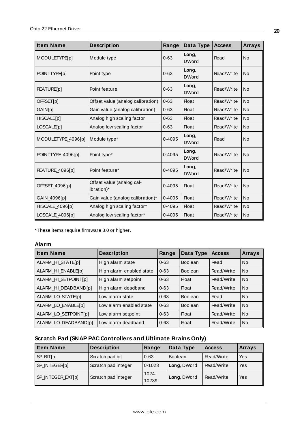| <b>Item Name</b>     | <b>Description</b>                      | Range      | Data Type             | <b>Access</b> | <b>Arrays</b> |
|----------------------|-----------------------------------------|------------|-----------------------|---------------|---------------|
| <b>MODULETYPE[p]</b> | Module type                             | $0 - 63$   | Long,<br><b>DWord</b> | Read          | <b>No</b>     |
| POINTTYPE[p]         | Point type                              | $0 - 63$   | Long,<br><b>DWord</b> | Read/Write    | <b>No</b>     |
| FEATURE[p]           | Point feature                           | $0 - 63$   | Long,<br><b>DWord</b> | Read/Write    | <b>No</b>     |
| OFFSET[p]            | Offset value (analog calibration)       | $0 - 63$   | <b>Float</b>          | Read/Write    | No            |
| GAIN[p]              | Gain value (analog calibration)         | $0 - 63$   | <b>Float</b>          | Read/Write    | <b>No</b>     |
| HISCALE[p]           | Analog high scaling factor              | $0 - 63$   | <b>Float</b>          | Read/Write    | <b>No</b>     |
| LOSCALE[p]           | Analog low scaling factor               | $0 - 63$   | <b>Float</b>          | Read/Write    | <b>No</b>     |
| MODULETYPE 4096[p]   | Module type*                            | 0-4095     | Long,<br><b>DWord</b> | Read          | <b>No</b>     |
| POINTTYPE_4096[p]    | Point type*                             | $0 - 4095$ | Long,<br><b>DWord</b> | Read/Write    | <b>No</b>     |
| FEATURE_4096[p]      | Point feature*                          | 0-4095     | Long,<br><b>DWord</b> | Read/Write    | <b>No</b>     |
| OFFSET_4096[p]       | Offset value (analog cal-<br>ibration)* | 0-4095     | <b>Float</b>          | Read/Write    | No            |
| GAIN_4096[p]         | Gain value (analog calibration)*        | 0-4095     | <b>Float</b>          | Read/Write    | <b>No</b>     |
| HISCALE 4096[p]      | Analog high scaling factor*             | 0-4095     | <b>Float</b>          | Read/Write    | <b>No</b>     |
| LOSCALE_4096[p]      | Analog low scaling factor*              | $0 - 4095$ | <b>Float</b>          | Read/Write    | <b>No</b>     |

\* These items require firmware 8.0 or higher.

### **Alarm**

| <b>Item Name</b>     | <b>Description</b>       | Range    | Data Type      | <b>Access</b> | <b>Arrays</b> |
|----------------------|--------------------------|----------|----------------|---------------|---------------|
| ALARM_HI_STATE[p]    | High alarm state         | $0 - 63$ | <b>Boolean</b> | Read          | <b>No</b>     |
| ALARM_HI_ENABLE[p]   | High alarm enabled state | $0 - 63$ | <b>Boolean</b> | Read/Write    | <b>No</b>     |
| ALARM_HI_SETPOINT[p] | High alarm setpoint      | $0 - 63$ | Float          | Read/Write    | <b>No</b>     |
| ALARM_HI_DEADBAND[p] | High alarm deadband      | $0 - 63$ | <b>Float</b>   | Read/Write    | <b>No</b>     |
| ALARM_LO_STATE[p]    | Low alarm state          | $0 - 63$ | <b>Boolean</b> | Read          | <b>No</b>     |
| ALARM_LO_ENABLE[p]   | Low alarm enabled state  | $0 - 63$ | <b>Boolean</b> | Read/Write    | <b>No</b>     |
| ALARM LO SETPOINT[p] | Low alarm setpoint       | $0 - 63$ | Float          | Read/Write    | <b>No</b>     |
| ALARM LO DEADBAND[p] | Low alarm deadband       | $0 - 63$ | <b>Float</b>   | Read/Write    | <b>No</b>     |

# **Scratch Pad (SNAP PAC Controllers and Ultimate Brains Only)**

| Item Name         | <b>Description</b>  | Range             | Data Type      | <b>Access</b> | <b>Arrays</b> |
|-------------------|---------------------|-------------------|----------------|---------------|---------------|
| SP_BIT[p]         | Scratch pad bit     | $0 - 63$          | <b>Boolean</b> | Read/Write    | Yes           |
| SP_INTEGER[p]     | Scratch pad integer | $0 - 1023$        | Long, DWord    | Read/Write    | Yes           |
| SP_INTEGER_EXT[p] | Scratch pad integer | $1024 -$<br>10239 | Long, DWord    | Read/Write    | Yes           |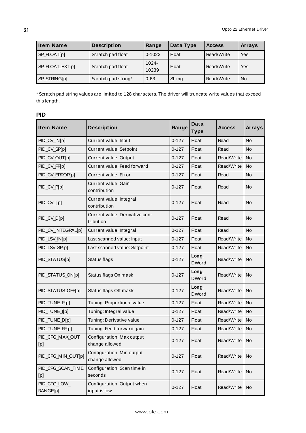| <b>Item Name</b>    | <b>Description</b>  | Range             | Data Type    | <b>Access</b> | <b>Arrays</b> |
|---------------------|---------------------|-------------------|--------------|---------------|---------------|
| $S$ P_FLOAT $[p]$   | Scratch pad float   | $0 - 1023$        | <b>Float</b> | Read/Write    | Yes           |
| SP_FLOAT_EXT[p]     | Scratch pad float   | $1024 -$<br>10239 | <b>Float</b> | Read/Write    | Yes           |
| <b>SP STRING[p]</b> | Scratch pad string* | $0 - 63$          | String       | Read/Write    | <b>No</b>     |

\* Scratch pad string values are limited to 128 characters. The driver will truncate write values that exceed this length.

| <b>Item Name</b>         | <b>Description</b>                          | Range     | <b>Data</b><br><b>Type</b> | <b>Access</b> | <b>Arrays</b>  |
|--------------------------|---------------------------------------------|-----------|----------------------------|---------------|----------------|
| PID_CV_IN[p]             | Current value: Input                        | $0 - 127$ | <b>Float</b>               | Read          | No             |
| PID_CV_SP[p]             | Current value: Setpoint                     | $0 - 127$ | <b>Float</b>               | Read          | <b>No</b>      |
| PID_CV_OUT[p]            | Current value: Output                       | $0 - 127$ | <b>Float</b>               | Read/Write    | <b>No</b>      |
| PID_CV_FF[p]             | Current value: Feed forward                 | $0 - 127$ | <b>Float</b>               | Read/Write    | N <sub>o</sub> |
| PID_CV_ERROR[p]          | <b>Current value: Error</b>                 | $0 - 127$ | <b>Float</b>               | Read          | No             |
| PID_CV_P[p]              | Current value: Gain<br>contribution         | $0 - 127$ | Float                      | Read          | No             |
| PID_CV_I[p]              | Current value: Integral<br>contribution     | $0 - 127$ | Float                      | Read          | No             |
| PID_CV_D[p]              | Current value: Derivative con-<br>tribution | $0 - 127$ | <b>Float</b>               | Read          | <b>No</b>      |
| PID_CV_INTEGRAL[p]       | Current value: Integral                     | $0 - 127$ | <b>Float</b>               | Read          | <b>No</b>      |
| PID_LSV_IN[p]            | Last scanned value: Input                   | $0 - 127$ | <b>Float</b>               | Read/Write    | <b>No</b>      |
| PID_LSV_SP[p]            | Last scanned value: Setpoint                | $0 - 127$ | <b>Float</b>               | Read/Write    | <b>No</b>      |
| PID_STATUS[p]            | Status flags                                | $0 - 127$ | Long,<br><b>DWord</b>      | Read/Write    | <b>No</b>      |
| PID_STATUS_ON[p]         | Status flags On mask                        | $0 - 127$ | Long,<br><b>DWord</b>      | Read/Write    | No             |
| PID_STATUS_OFF[p]        | Status flags Off mask                       | $0 - 127$ | Long,<br><b>DWord</b>      | Read/Write    | <b>No</b>      |
| PID_TUNE_P[p]            | Tuning: Proportional value                  | $0 - 127$ | <b>Float</b>               | Read/Write    | N <sub>o</sub> |
| PID_TUNE_I[p]            | Tuning: Integral value                      | $0 - 127$ | <b>Float</b>               | Read/Write    | <b>No</b>      |
| PID_TUNE_D[p]            | Tuning: Derivative value                    | $0 - 127$ | <b>Float</b>               | Read/Write    | <b>No</b>      |
| PID_TUNE_FF[p]           | Tuning: Feed forward gain                   | $0 - 127$ | <b>Float</b>               | Read/Write    | <b>No</b>      |
| PID_CFG_MAX_OUT<br>[p]   | Configuration: Max output<br>change allowed | $0 - 127$ | Float                      | Read/Write    | No             |
| PID_CFG_MIN_OUT[p]       | Configuration: Min output<br>change allowed | $0 - 127$ | <b>Float</b>               | Read/Write    | No             |
| PID_CFG_SCAN_TIME<br>[p] | Configuration: Scan time in<br>seconds      | $0 - 127$ | Float                      | Read/Write    | No             |
| PID_CFG_LOW_<br>RANGE[p] | Configuration: Output when<br>input is low  | $0 - 127$ | <b>Float</b>               | Read/Write    | No             |

### **PID**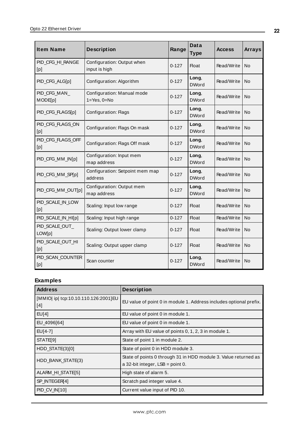| <b>Item Name</b>         | <b>Description</b><br>Range                     |           | Data<br><b>Type</b>   | <b>Access</b> | <b>Arrays</b> |
|--------------------------|-------------------------------------------------|-----------|-----------------------|---------------|---------------|
| PID CFG HI RANGE<br>[p]  | Configuration: Output when<br>input is high     | $0 - 127$ | <b>Float</b>          | Read/Write    | No            |
| PID CFG ALG[p]           | Configuration: Algorithm                        | $0 - 127$ | Long,<br><b>DWord</b> | Read/Write    | No            |
| PID_CFG_MAN_<br>MODE[p]  | Configuration: Manual mode<br>$1 = Yes, 0 = No$ | $0 - 127$ | Long,<br><b>DWord</b> | Read/Write    | No            |
| PID_CFG_FLAGS[p]         | <b>Configuration: Flags</b>                     | $0 - 127$ | Long,<br><b>DWord</b> | Read/Write    | No            |
| PID CFG FLAGS ON<br>[p]  | Configuration: Flags On mask                    | $0 - 127$ | Long,<br><b>DWord</b> | Read/Write    | No            |
| PID_CFG_FLAGS_OFF<br>[p] | Configuration: Flags Off mask                   | $0 - 127$ | Long,<br><b>DWord</b> | Read/Write    | N٥            |
| PID_CFG_MM_IN[p]         | Configuration: Input mem<br>map address         | $0 - 127$ | Long,<br><b>DWord</b> | Read/Write    | No            |
| PID_CFG_MM_SP[p]         | Configuration: Setpoint mem map<br>address      | $0 - 127$ | Long,<br><b>DWord</b> | Read/Write    | No            |
| PID_CFG_MM_OUT[p]        | Configuration: Output mem<br>map address        | $0 - 127$ | Long,<br><b>DWord</b> | Read/Write    | No            |
| PID_SCALE_IN_LOW<br>[p]  | Scaling: Input low range                        | $0 - 127$ | <b>Float</b>          | Read/Write    | No            |
| PID_SCALE_IN_HI[p]       | Scaling: Input high range                       | $0 - 127$ | <b>Float</b>          | Read/Write    | <b>No</b>     |
| PID SCALE OUT<br>LOW[p]  | Scaling: Output lower clamp                     | $0 - 127$ | <b>Float</b>          | Read/Write    | No            |
| PID_SCALE_OUT_HI<br>[p]  | Scaling: Output upper clamp                     | $0 - 127$ | Float                 | Read/Write    | No            |
| PID_SCAN_COUNTER<br>[p]  | Scan counter                                    | $0 - 127$ | Long,<br><b>DWord</b> | Read/Write    | <b>No</b>     |

# **Examples**

| <b>Address</b>                              | <b>Description</b>                                                                                     |
|---------------------------------------------|--------------------------------------------------------------------------------------------------------|
| [MMIO] ip  tcp:10.10.110.126:2001]EU<br>[4] | EU value of point 0 in module 1. Address includes optional prefix.                                     |
| EU[4]                                       | EU value of point 0 in module 1.                                                                       |
| EU_4096[64]                                 | EU value of point 0 in module 1.                                                                       |
| $EUI4-7$ ]                                  | Array with EU value of points 0, 1, 2, 3 in module 1.                                                  |
| STATE[9]                                    | State of point 1 in module 2.                                                                          |
| $HDD_{STATE(3)[0]}$                         | State of point 0 in HDD module 3.                                                                      |
| HDD BANK STATE(3)                           | State of points 0 through 31 in HDD module 3. Value returned as<br>a 32-bit integer, $LSB = point 0$ . |
| ALARM_HI_STATE[5]                           | High state of alarm 5.                                                                                 |
| SP INTEGER[4]                               | Scratch pad integer value 4.                                                                           |
| PID_CV_IN[10]                               | Current value input of PID 10.                                                                         |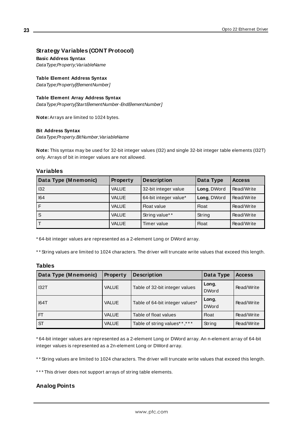### **Strategy Variables (CONT Protocol)**

#### **Basic Address Syntax**

DataType;Property;VariableName

**Table Element Address Syntax** DataType;Property[ElementNumber]

# **Table Element Array Address Syntax**

DataType;Property[StartElementNumber-EndElementNumber]

**Note:** Arrays are limited to 1024 bytes.

#### **Bit Address Syntax**

DataType;Property.BitNumber;VariableName

**Note:** This syntax may be used for 32-bit integer values (I32) and single 32-bit integer table elements (I32T) only. Arrays of bit in integer values are not allowed.

#### **Variables**

| Data Type (Mnemonic) | <b>Property</b> | <b>Description</b>    | Data Type    | <b>Access</b> |
|----------------------|-----------------|-----------------------|--------------|---------------|
| 132                  | <b>VALUE</b>    | 32-bit integer value  | Long, DWord  | Read/Write    |
| 64                   | <b>VALUE</b>    | 64-bit integer value* | Long, DWord  | Read/Write    |
|                      | <b>VALUE</b>    | <b>Float value</b>    | <b>Float</b> | Read/Write    |
| . S                  | <b>VALUE</b>    | String value**        | String       | Read/Write    |
|                      | <b>VALUE</b>    | Timer value           | <b>Float</b> | Read/Write    |

\* 64-bit integer values are represented as a 2-element Long or DWord array.

\* \* String values are limited to 1024 characters. The driver will truncate write values that exceed this length.

### **Tables**

| Data Type (Mnemonic) | <b>Property</b> | <b>Description</b>               | Data Type             | <b>Access</b> |
|----------------------|-----------------|----------------------------------|-----------------------|---------------|
| 132T                 | <b>VALUE</b>    | Table of 32-bit integer values   | Long,<br><b>DWord</b> | Read/Write    |
| 164T                 | <b>VALUE</b>    | Table of 64-bit integer values*  | Long,<br><b>DWord</b> | Read/Write    |
| FT                   | VALUE           | Table of float values            | <b>Float</b>          | Read/Write    |
| <b>ST</b>            | <b>VALUE</b>    | Table of string values* *, * * * | String                | Read/Write    |

\* 64-bit integer values are represented as a 2-element Long or DWord array. An n-element array of 64-bit integer values is represented as a 2n-element Long or DWord array.

\* \* String values are limited to 1024 characters. The driver will truncate write values that exceed this length.

\*\*\* This driver does not support arrays of string table elements.

### **Analog Points**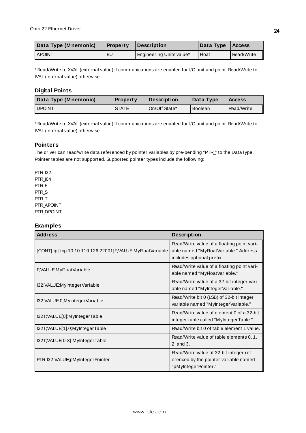| Data Type (Mnemonic) | <b>Property</b> | Description              | Data Type   Access |            |
|----------------------|-----------------|--------------------------|--------------------|------------|
| <b>LAPOINT</b>       | EU              | Engineering Units value* | Float              | Read/Write |

\* Read/Write to XVAL (external value) if communications are enabled for I/O unit and point. Read/Write to IVAL (internal value) otherwise.

### **Digital Points**

| Data Type (Mnemonic) | <b>Property</b> | <b>Description</b> | Data Type      | <b>Access</b> |
|----------------------|-----------------|--------------------|----------------|---------------|
| <b>DPOINT</b>        | <b>STATE</b>    | On/Off State*      | <b>Boolean</b> | Read/Write    |

\* Read/Write to XVAL (external value) if communications are enabled for I/O unit and point. Read/Write to IVAL (internal value) otherwise.

### **Pointers**

The driver can read/write data referenced by pointer variables by pre-pending "PTR\_" to the DataType. Pointer tables are not supported. Supported pointer types include the following:

PTR\_I32 PTR\_I64 PTR\_F PTR\_S PTR\_T PTR\_APOINT PTR\_DPOINT

### **Examples**

| <b>Address</b>                                             | <b>Description</b>                                                                                               |
|------------------------------------------------------------|------------------------------------------------------------------------------------------------------------------|
| [CONT  ip  tcp:10.10.110.126:22001]F;VALUE;MyFloatVariable | Read/Write value of a floating point vari-<br>able named "MyFloatVariable." Address<br>includes optional prefix. |
| F;VALUE;MyFloatVariable                                    | Read/Write value of a floating point vari-<br>able named "MyFloatVariable."                                      |
| I32; VALUE; MyInteger Variable                             | Read/Write value of a 32-bit integer vari-<br>able named "MyInteger Variable."                                   |
| I32; VALUE.0; MyInteger Variable                           | Read/Write bit 0 (LSB) of 32-bit integer<br>variable named "MyIntegerVariable."                                  |
| I32T;VALUE[0];MyIntegerTable                               | Read/Write value of element 0 of a 32-bit<br>integer table called "MyIntegerTable."                              |
| I32T; VALUE[1].0; MyInteger Table                          | Read/Write bit 0 of table element 1 value.                                                                       |
| I32T;VALUE[0-3];MyIntegerTable                             | Read/Write value of table elements 0, 1,<br>2, and 3.                                                            |
| PTR_I32;VALUE;pMyIntegerPointer                            | Read/Write value of 32-bit integer ref-<br>erenced by the pointer variable named<br>"pMyIntegerPointer."         |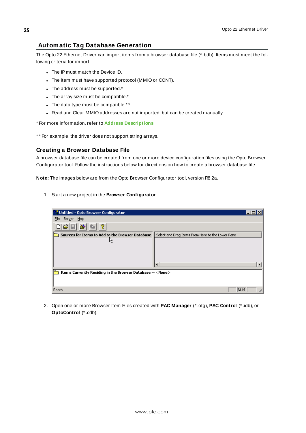### <span id="page-24-0"></span>**Automatic Tag Database Generation**

The Opto 22 Ethernet Driver can import items from a browser database file (\* .bdb). Items must meet the following criteria for import:

- The IP must match the Device ID.
- The item must have supported protocol (MMIO or CONT).
- $\bullet$  The address must be supported. $\ast$
- The array size must be compatible. $*$
- The data type must be compatible.\*\*
- Read and Clear MMIO addresses are not imported, but can be created manually.

\* For more information, refer to **Address [Descriptions](#page-16-0)**.

\*\* For example, the driver does not support string arrays.

### **Creating a Browser Database File**

A browser database file can be created from one or more device configuration files using the Opto Browser Configurator tool. Follow the instructions below for directions on how to create a browser database file.

**Note:** The images below are from the Opto Browser Configurator tool, version R8.2a.

1. Start a new project in the **Browser Configurator**.

| $\frac{1}{2}$ Untitled - Opto Browser Configurator                |                                                   |  |
|-------------------------------------------------------------------|---------------------------------------------------|--|
| Help<br>Server<br>File                                            |                                                   |  |
| ୃହ                                                                |                                                   |  |
| Sources for Items to Add to the Browser Database                  | Select and Drag Items From Here to the Lower Pane |  |
| μĻ                                                                |                                                   |  |
|                                                                   |                                                   |  |
|                                                                   |                                                   |  |
|                                                                   |                                                   |  |
|                                                                   |                                                   |  |
| Items Currently Residing in the Browser Database -- <none></none> |                                                   |  |
|                                                                   |                                                   |  |
| Ready                                                             | NUM                                               |  |

2. Open one or more Browser Item Files created with **PAC Manager** (\* .otg), **PAC Control** (\* .idb), or **OptoControl** (\* .cdb).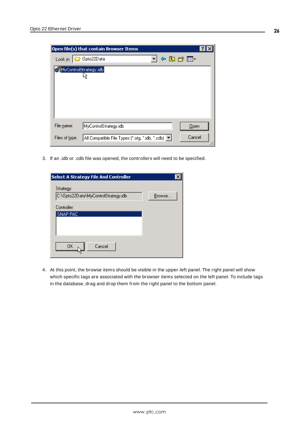|                | Open file(s) that contain Browser Items                     |  |
|----------------|-------------------------------------------------------------|--|
| Look in:       | 4日普囲~<br>Opto22Data                                         |  |
|                | WyControlStrategy.idb                                       |  |
|                |                                                             |  |
|                |                                                             |  |
|                |                                                             |  |
| File name:     | MyControlStrategy.idb<br>$Q$ pen                            |  |
| Files of type: | Cancel<br>All Compatible File Types (*.otg, *.idb, *.cdb) ▼ |  |

3. If an .idb or .cdb file was opened, the controllers will need to be specified.

| <b>Select A Strategy File And Controller</b> |        |
|----------------------------------------------|--------|
| Strategy:                                    |        |
| C:\Opto22Data\MyControlStrategy.idb          | Browse |
| Controller:                                  |        |
| SNAP PAC                                     |        |
| Cancel<br>OK                                 |        |

4. At this point, the browse items should be visible in the upper-left panel. The right panel will show which specific tags are associated with the browser items selected on the left panel. To include tags in the database, drag and drop them from the right panel to the bottom panel.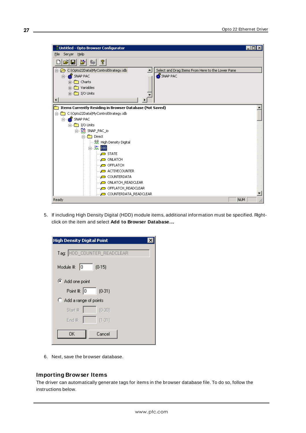| Untitled - Opto Browser Configurator                            | $  \, \rule{0.1cm}{.0cm} \,$ $\rule{0.1cm}{.0cm}$ $  \, \rule{0.1cm}{.0cm} \,$ $\rule{0.1cm}{.0cm}$ $\rule{0.1cm}{.0cm}$ $\rule{0.1cm}{.0cm}$ |
|-----------------------------------------------------------------|-----------------------------------------------------------------------------------------------------------------------------------------------|
| Server Help<br>File                                             |                                                                                                                                               |
| 6 비 원<br><u> ?</u>                                              |                                                                                                                                               |
| 白…23 C:\Opto22Data\MyControlStrategy.idb<br>$\blacktriangle$    | Select and Drag Items From Here to the Lower Pane                                                                                             |
| <b>H</b> . <b>B</b> SNAP PAC<br>由 - m Charts                    | SNAP PAC                                                                                                                                      |
| 由 - <b>Com</b> Variables                                        |                                                                                                                                               |
| $\frac{1}{2}$ $\frac{m}{m}$ I/O Units                           |                                                                                                                                               |
|                                                                 |                                                                                                                                               |
| <b>Items Currently Residing in Browser Database (Not Saved)</b> |                                                                                                                                               |
| C:\Opto22Data\MyControlStrategy.idb<br>Ė~                       |                                                                                                                                               |
| ⊟ <b>so f</b> SNAP PAC                                          |                                                                                                                                               |
| $\Box$ $\Box$ I/O Units                                         |                                                                                                                                               |
| ⊟ RO SNAP_PAC_io                                                |                                                                                                                                               |
| <b>Direct</b><br>Ėŀ                                             |                                                                                                                                               |
|                                                                 |                                                                                                                                               |
| 白 <b>琉</b> DIO                                                  |                                                                                                                                               |
| $\Box$ STATE                                                    |                                                                                                                                               |
| — ONLATCH                                                       |                                                                                                                                               |
| OFFLATCH                                                        |                                                                                                                                               |
| ACTIVE COUNTER                                                  |                                                                                                                                               |
| COUNTERDATA                                                     |                                                                                                                                               |
| illering ONLATCH_READCLEAR                                      |                                                                                                                                               |
| OFFLATCH_READCLEAR                                              |                                                                                                                                               |
| — COUNTERDATA_READCLEAR                                         |                                                                                                                                               |
| Ready                                                           | NUM                                                                                                                                           |

5. If including High Density Digital (HDD) module items, additional information must be specified. Rightclick on the item and select **Add to Browser Database…**.

| <b>High Density Digital Point</b> |
|-----------------------------------|
| Tag: HDD_COUNTER_READCLEAR        |
| Module #: $ 0 $<br>(0.15)         |
| Add one point                     |
| Point #: $\boxed{0}$<br>$(0-31)$  |
| Add a range of points             |
| Start #:<br>(0.30)                |
| End #:<br>$(1-31)$                |
| OΚ<br>Cancel                      |

6. Next, save the browser database.

### **Importing Browser Items**

The driver can automatically generate tags for items in the browser database file. To do so, follow the instructions below.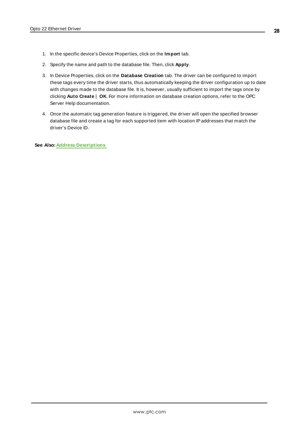- 1. In the specific device's Device Properties, click on the **Import** tab.
- 2. Specify the name and path to the database file. Then, click **Apply**.
- 3. In Device Properties, click on the **Database Creation** tab. The driver can be configured to import these tags every time the driver starts, thus automatically keeping the driver configuration up to date with changes made to the database file. It is, however, usually sufficient to import the tags once by clicking **Auto Create** | **OK**. For more information on database creation options, refer to the OPC Server Help documentation.
- 4. Once the automatic tag generation feature is triggered, the driver will open the specified browser database file and create a tag for each supported item with location IPaddresses that match the driver's Device ID.

**See Also: Address [Descriptions](#page-16-0)**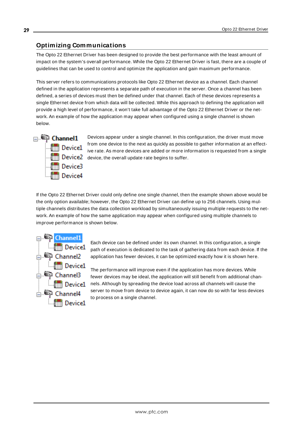### <span id="page-28-0"></span>**Optimizing Communications**

The Opto 22 Ethernet Driver has been designed to provide the best performance with the least amount of impact on the system's overall performance. While the Opto 22 Ethernet Driver is fast, there are a couple of guidelines that can be used to control and optimize the application and gain maximum performance.

This server refers to communications protocols like Opto 22 Ethernet device as a channel. Each channel defined in the application represents a separate path of execution in the server. Once a channel has been defined, a series of devices must then be defined under that channel. Each of these devices represents a single Ethernet device from which data will be collected. While this approach to defining the application will provide a high level of performance, it won't take full advantage of the Opto 22 Ethernet Driver or the network. An example of how the application may appear when configured using a single channel is shown below.



Devices appear under a single channel. In this configuration, the driver must move from one device to the next as quickly as possible to gather information at an effective rate. As more devices are added or more information is requested from a single  $\lim_{n\to\infty}$  Device2 device, the overall update rate begins to suffer.

If the Opto 22 Ethernet Driver could only define one single channel, then the example shown above would be the only option available; however, the Opto 22 Ethernet Driver can define up to 256 channels. Using multiple channels distributes the data collection workload by simultaneously issuing multiple requests to the network. An example of how the same application may appear when configured using multiple channels to improve performance is shown below.



Each device can be defined under its own channel. In this configuration, a single path of execution is dedicated to the task of gathering data from each device. If the application has fewer devices, it can be optimized exactly how it is shown here.

The performance will improve even if the application has more devices. While fewer devices may be ideal, the application will still benefit from additional channels. Although by spreading the device load across all channels will cause the server to move from device to device again, it can now do so with far less devices to process on a single channel.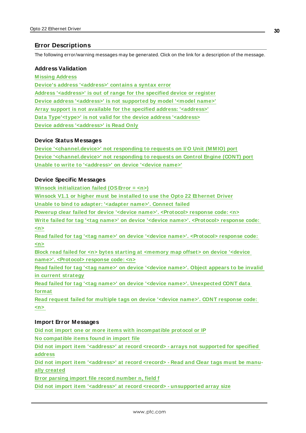### <span id="page-29-0"></span>**Error Descriptions**

The following error/warning messages may be generated. Click on the link for a description of the message.

### **Address Validation**

**[M issing](#page-30-0) Address Device's address ['<address>'](#page-30-1) contains a syntax error Address ['<address>'](#page-30-2) is out of range for the specified device or register Device address ['<address>'](#page-30-3) is not supported by model '<model name>' Array support is not available for the specified address: ['<address>'](#page-31-0) Data [Type'<type>'](#page-31-1) is not valid for the device address '<address> Device address ['<address>'](#page-31-2) is Read Only**

### **Device Status Messages**

**Device ['<channel.device>'](#page-31-3) not responding to requests on I/ O Unit (M M IO) port Device ['<channel.device>'](#page-32-0) not responding to requests on Control Engine (CONT) port Unable to write to ['<address>'](#page-32-1) on device '<device name>'**

### **Device Specific Messages**

**Winsock [initialization](#page-32-2) failed (OSError = <n>)**

**Winsock V1.1 or higher must be [installed](#page-33-0) to use the Opto 22 Ethernet Driver**

**Unable to bind to adapter: ['<adapter](#page-33-1) name>'. Connect failed**

**Powerup clear failed for device '<device name>'. [<Protocol>](#page-33-2) response code: <n>**

**Write failed for tag '<tag name>' on device '<device name>'. [<Protocol>](#page-34-0) response code: [<n>](#page-34-0)**

**Read failed for tag '<tag name>' on device '<device name>'. [<Protocol>](#page-34-1) response code: [<n>](#page-34-1)**

**Block read failed for <n> bytes starting at [<memory](#page-34-2) map offset> on device '<device name>'. [<Protocol>](#page-34-2) response code: <n>**

**Read failed for tag '<tag name>' on device ['<device](#page-35-0) name>'. Object appears to be invalid in current [strategy](#page-35-0)**

**Read failed for tag '<tag name>' on device '<device name>'. [Unexpected](#page-35-1) CONT data [format](#page-35-1)**

**Read request failed for multiple tags on device '<device name>'. CONT [response](#page-35-2) code: [<n>](#page-35-2)**

### **Import Error Messages**

**Did not import one or more items with [incompatible](#page-36-0) protocol or IP**

**No [compatible](#page-36-1) items found in import file**

**Did not import item ['<address>'](#page-37-0) at record <record> - arrays not supported for specified [address](#page-37-0)**

**Did not import item ['<address>'](#page-37-1) at record <record> - Read and Clear tags must be manually [created](#page-37-1)**

**Error parsing import file record [number](#page-37-2) n, field f**

**Did not import item '<address>' at record <record> - [unsupported](#page-38-0) array size**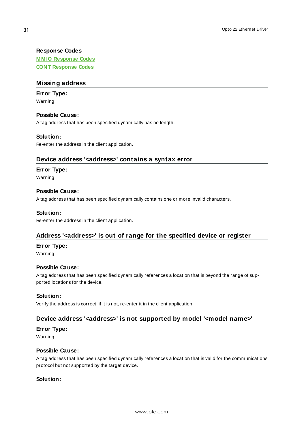### **Response Codes**

**M M IO [Response](#page-38-1) Codes CONT [Response](#page-38-2) Codes**

### <span id="page-30-0"></span>**Missing address**

### **Error Type:**

Warning

### **Possible Cause:**

A tag address that has been specified dynamically has no length.

### **Solution:**

<span id="page-30-1"></span>Re-enter the address in the client application.

### **Device address '<address>' contains a syntax error**

### **Error Type:**

Warning

### **Possible Cause:**

A tag address that has been specified dynamically contains one or more invalid characters.

#### **Solution:**

<span id="page-30-2"></span>Re-enter the address in the client application.

### **Address '<address>' is out of range for the specified device or register**

#### **Error Type:**

Warning

### **Possible Cause:**

A tag address that has been specified dynamically references a location that is beyond the range of supported locations for the device.

#### **Solution:**

<span id="page-30-3"></span>Verify the address is correct; if it is not, re-enter it in the client application.

### **Device address '<address>' is not supported by model '<model name>'**

#### **Error Type:**

Warning

### **Possible Cause:**

A tag address that has been specified dynamically references a location that is valid for the communications protocol but not supported by the target device.

### **Solution:**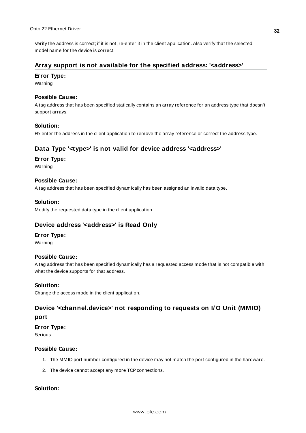Verify the address is correct; if it is not, re-enter it in the client application. Also verify that the selected model name for the device is correct.

### <span id="page-31-0"></span>**Array support is not available for the specified address: '<address>'**

#### **Error Type:**

Warning

### **Possible Cause:**

A tag address that has been specified statically contains an array reference for an address type that doesn't support arrays.

#### **Solution:**

<span id="page-31-1"></span>Re-enter the address in the client application to remove the array reference or correct the address type.

### **Data Type '<type>' is not valid for device address '<address>'**

#### **Error Type:**

Warning

### **Possible Cause:**

A tag address that has been specified dynamically has been assigned an invalid data type.

### **Solution:**

<span id="page-31-2"></span>Modify the requested data type in the client application.

### **Device address '<address>' is Read Only**

#### **Error Type:**

Warning

#### **Possible Cause:**

A tag address that has been specified dynamically has a requested access mode that is not compatible with what the device supports for that address.

#### **Solution:**

<span id="page-31-3"></span>Change the access mode in the client application.

## **Device '<channel.device>' not responding to requests on I/ O Unit (MMIO) port**

**Error Type:** Serious

### **Possible Cause:**

- 1. The MMIO port number configured in the device may not match the port configured in the hardware.
- 2. The device cannot accept any more TCP connections.

### **Solution:**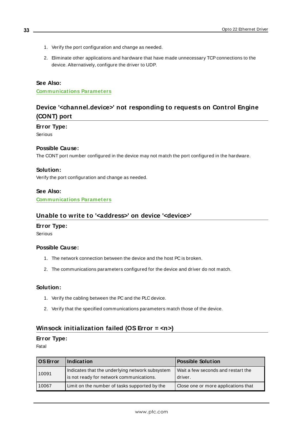- 1. Verify the port configuration and change as needed.
- 2. Eliminate other applications and hardware that have made unnecessary TCP connections to the device. Alternatively, configure the driver to UDP.

### **See Also:**

<span id="page-32-0"></span>**[Communications](#page-13-0) Parameters**

# **Device '<channel.device>' not responding to requests on Control Engine (CONT) port**

### **Error Type:**

Serious

#### **Possible Cause:**

The CONT port number configured in the device may not match the port configured in the hardware.

#### **Solution:**

Verify the port configuration and change as needed.

**See Also: [Communications](#page-13-0) Parameters**

### <span id="page-32-1"></span>**Unable to write to '<address>' on device '<device>'**

### **Error Type:**

Serious

### **Possible Cause:**

- 1. The network connection between the device and the host PC is broken.
- 2. The communications parameters configured for the device and driver do not match.

#### **Solution:**

- 1. Verify the cabling between the PC and the PLC device.
- 2. Verify that the specified communications parameters match those of the device.

# <span id="page-32-2"></span>**Winsock initialization failed (OS Error = <n>)**

### **Error Type:**

Fatal

| <b>OS</b> Error | Indication                                                                                  | <b>Possible Solution</b>                        |
|-----------------|---------------------------------------------------------------------------------------------|-------------------------------------------------|
| 10091           | Indicates that the underlying network subsystem<br>is not ready for network communications. | l Wait a few seconds and restart the<br>driver. |
| 10067           | Limit on the number of tasks supported by the                                               | Close one or more applications that             |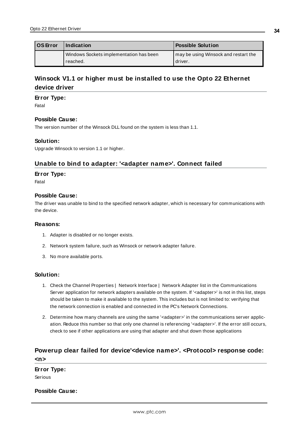| <b>OS</b> Error | Indication                              | <b>Possible Solution</b>             |
|-----------------|-----------------------------------------|--------------------------------------|
|                 | Windows Sockets implementation has been | may be using Winsock and restart the |
|                 | reached.                                | driver.                              |

# <span id="page-33-0"></span>**Winsock V1.1 or higher must be installed to use the Opto 22 Ethernet device driver**

#### **Error Type:**

Fatal

#### **Possible Cause:**

The version number of the Winsock DLL found on the system is less than 1.1.

### **Solution:**

<span id="page-33-1"></span>Upgrade Winsock to version 1.1 or higher.

### **Unable to bind to adapter: '<adapter name>'. Connect failed**

#### **Error Type:**

Fatal

#### **Possible Cause:**

The driver was unable to bind to the specified network adapter, which is necessary for communications with the device.

#### **Reasons:**

- 1. Adapter is disabled or no longer exists.
- 2. Network system failure, such as Winsock or network adapter failure.
- 3. No more available ports.

### **Solution:**

- 1. Check the Channel Properties | Network Interface | Network Adapter list in the Communications Server application for network adapters available on the system. If '<adapter>' is not in this list, steps should be taken to make it available to the system. This includes but is not limited to: verifying that the network connection is enabled and connected in the PC's Network Connections.
- 2. Determine how many channels are using the same '<adapter>' in the communications server application. Reduce this number so that only one channel is referencing '<adapter>'. If the error still occurs, check to see if other applications are using that adapter and shut down those applications

# <span id="page-33-2"></span>**Powerup clear failed for device'<device name>'. <Protocol> response code:**

**<n>**

### **Error Type:**

Serious

### **Possible Cause:**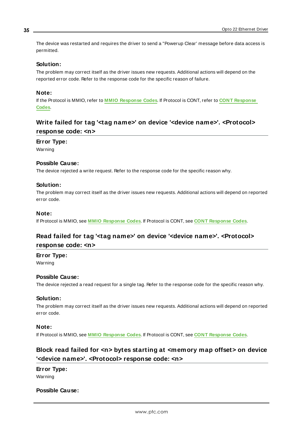The device was restarted and requires the driver to send a "Powerup Clear' message before data access is permitted.

### **Solution:**

The problem may correct itself as the driver issues new requests. Additional actions will depend on the reported error code. Refer to the response code for the specific reason of failure.

### **Note:**

If the Protocol is MMIO, refer to **MMIO [Response](#page-38-1) Codes**. If Protocol is CONT, refer to **CONT [Response](#page-38-2) [Codes](#page-38-2)**.

# <span id="page-34-0"></span>**Write failed for tag '<tag name>' on device '<device name>'. <Protocol> response code: <n>**

#### **Error Type:**

Warning

### **Possible Cause:**

The device rejected a write request. Refer to the response code for the specific reason why.

#### **Solution:**

The problem may correct itself as the driver issues new requests. Additional actions will depend on reported error code.

#### **Note:**

<span id="page-34-1"></span>If Protocol is MMIO, see **MMIO [Response](#page-38-1) Codes**. If Protocol is CONT, see **CONT [Response](#page-38-2) Codes**.

### **Read failed for tag '<tag name>' on device '<device name>'. <Protocol> response code: <n>**

**Error Type:**

Warning

### **Possible Cause:**

The device rejected a read request for a single tag. Refer to the response code for the specific reason why.

#### **Solution:**

The problem may correct itself as the driver issues new requests. Additional actions will depend on reported error code.

### **Note:**

<span id="page-34-2"></span>If Protocol is MMIO, see **MMIO [Response](#page-38-1) Codes**. If Protocol is CONT, see **CONT [Response](#page-38-2) Codes**.

### **Block read failed for <n> bytes starting at <memory map offset> on device '<device name>'. <Protocol> response code: <n>**

**Error Type:** Warning

#### **Possible Cause:**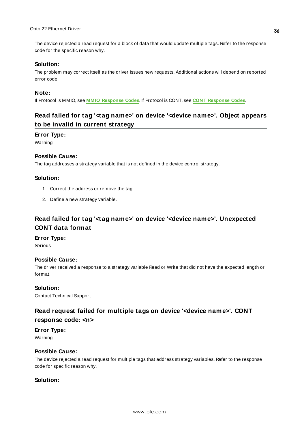The device rejected a read request for a block of data that would update multiple tags. Refer to the response code for the specific reason why.

#### **Solution:**

The problem may correct itself as the driver issues new requests. Additional actions will depend on reported error code.

#### **Note:**

<span id="page-35-0"></span>If Protocol is MMIO, see **MMIO [Response](#page-38-1) Codes**. If Protocol is CONT, see **CONT [Response](#page-38-2) Codes**.

# **Read failed for tag '<tag name>' on device '<device name>'. Object appears to be invalid in current strategy**

#### **Error Type:**

Warning

### **Possible Cause:**

The tag addresses a strategy variable that is not defined in the device control strategy.

### **Solution:**

- 1. Correct the address or remove the tag.
- 2. Define a new strategy variable.

# <span id="page-35-1"></span>**Read failed for tag '<tag name>' on device '<device name>'. Unexpected CONT data format**

#### **Error Type:**

Serious

### **Possible Cause:**

The driver received a response to a strategy variable Read or Write that did not have the expected length or format.

### **Solution:**

<span id="page-35-2"></span>Contact Technical Support.

### **Read request failed for multiple tags on device '<device name>'. CONT response code: <n>**

### **Error Type:**

Warning

### **Possible Cause:**

The device rejected a read request for multiple tags that address strategy variables. Refer to the response code for specific reason why.

### **Solution:**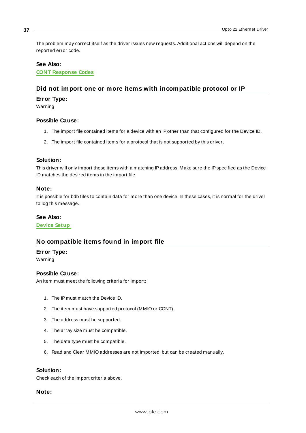The problem may correct itself as the driver issues new requests. Additional actions will depend on the reported error code.

#### **See Also:**

<span id="page-36-0"></span>**CONT [Response](#page-38-2) Codes**

### **Did not import one or more items with incompatible protocol or IP**

### **Error Type:**

Warning

#### **Possible Cause:**

- 1. The import file contained items for a device with an IPother than that configured for the Device ID.
- 2. The import file contained items for a protocol that is not supported by this driver.

#### **Solution:**

This driver will only import those items with a matching IP address. Make sure the IP specified as the Device ID matches the desired items in the import file.

#### **Note:**

It is possible for bdb files to contain data for more than one device. In these cases, it is normal for the driver to log this message.

#### **See Also:**

<span id="page-36-1"></span>**[Device](#page-4-0) Setup**

### **No compatible items found in import file**

#### **Error Type:**

Warning

### **Possible Cause:**

An item must meet the following criteria for import:

- 1. The IP must match the Device ID.
- 2. The item must have supported protocol (MMIO or CONT).
- 3. The address must be supported.
- 4. The array size must be compatible.
- 5. The data type must be compatible.
- 6. Read and Clear MMIO addresses are not imported, but can be created manually.

### **Solution:**

Check each of the import criteria above.

#### **Note:**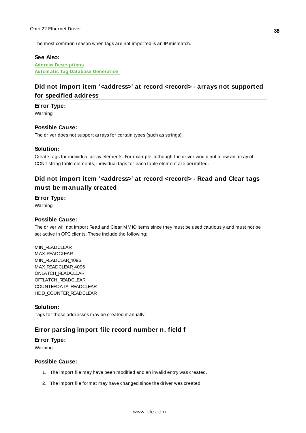The most common reason when tags are not imported is an IP mismatch.

#### **See Also:**

**Address [Descriptions](#page-16-0) Automatic Tag Database [Generation](#page-24-0)**

### <span id="page-37-0"></span>**Did not import item '<address>' at record <record> - arrays not supported for specified address**

#### **Error Type:**

Warning

#### **Possible Cause:**

The driver does not support arrays for certain types (such as strings).

### **Solution:**

Create tags for individual array elements. For example, although the driver would not allow an array of CONT string table elements, individual tags for each table element are permitted.

# <span id="page-37-1"></span>**Did not import item '<address>' at record <record> - Read and Clear tags must be manually created**

### **Error Type:**

Warning

#### **Possible Cause:**

The driver will not import Read and Clear MMIO items since they must be used cautiously and must not be set active in OPC clients. These include the following:

MIN\_READCLEAR MAX READCLEAR MIN\_READCLAR\_4096 MAX\_READCLEAR\_4096 ONLATCH\_READCLEAR OFFLATCH\_READCLEAR COUNTERDATA\_READCLEAR HDD\_COUNTER\_READCLEAR

#### **Solution:**

<span id="page-37-2"></span>Tags for these addresses may be created manually.

### **Error parsing import file record number n, field f**

#### **Error Type:**

Warning

#### **Possible Cause:**

- 1. The import file may have been modified and an invalid entry was created.
- 2. The import file format may have changed since the driver was created.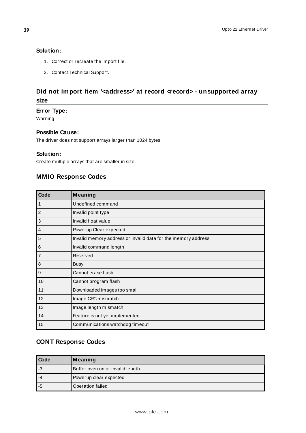### **Solution:**

- 1. Correct or recreate the import file.
- 2. Contact Technical Support.

# <span id="page-38-0"></span>**Did not import item '<address>' at record <record> - unsupported array size**

### **Error Type:**

Warning

### **Possible Cause:**

The driver does not support arrays larger than 1024 bytes.

### **Solution:**

<span id="page-38-1"></span>Create multiple arrays that are smaller in size.

### **MMIO Response Codes**

| Code            | Meaning                                                       |
|-----------------|---------------------------------------------------------------|
| $\mathbf 1$     | Undefined command                                             |
| $\overline{2}$  | Invalid point type                                            |
| 3               | Invalid float value                                           |
| 4               | Powerup Clear expected                                        |
| 5               | Invalid memory address or invalid data for the memory address |
| $6\phantom{1}6$ | Invalid command length                                        |
| $\overline{7}$  | Reserved                                                      |
| 8               | <b>Busy</b>                                                   |
| 9               | Cannot erase flash                                            |
| 10              | Cannot program flash                                          |
| 11              | Downloaded images too small                                   |
| 12              | Image CRC mismatch                                            |
| 13              | Image length mismatch                                         |
| 14              | Feature is not yet implemented                                |
| 15              | Communications watchdog timeout                               |

# <span id="page-38-2"></span>**CONT Response Codes**

| <b>Code</b> | Meaning                          |
|-------------|----------------------------------|
| l -3        | Buffer overrun or invalid length |
| -4          | Powerup clear expected           |
| l -5        | Operation failed                 |

**39**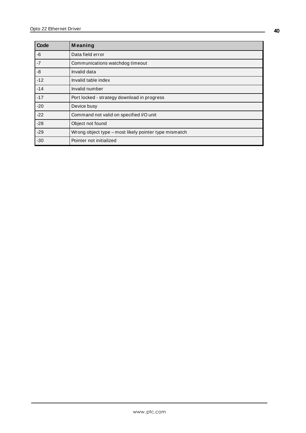| Code  | Meaning                                               |
|-------|-------------------------------------------------------|
| -6    | Data field error                                      |
| $-7$  | Communications watchdog timeout                       |
| -8    | Invalid data                                          |
| $-12$ | Invalid table index                                   |
| $-14$ | Invalid number                                        |
| $-17$ | Port locked - strategy download in progress           |
| $-20$ | Device busy                                           |
| $-22$ | Command not valid on specified I/O unit               |
| $-28$ | Object not found                                      |
| $-29$ | Wrong object type - most likely pointer type mismatch |
| $-30$ | Pointer not initialized                               |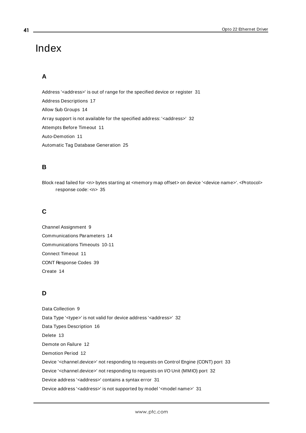# <span id="page-40-0"></span>Index

# **A**

Address '<address>' is out of range for the specified device or register [31](#page-30-2) Address Descriptions [17](#page-16-0) Allow Sub Groups [14](#page-13-1) Array support is not available for the specified address: '<address>' [32](#page-31-0) Attempts Before Timeout [11](#page-10-1) Auto-Demotion [11](#page-10-0) Automatic Tag Database Generation [25](#page-24-0)

# **B**

Block read failed for <n> bytes starting at <memory map offset> on device '<device name>'. <Protocol> response code: <n> [35](#page-34-2)

# **C**

Channel Assignment [9](#page-8-1) Communications Parameters [14](#page-13-0) Communications Timeouts [10-11](#page-9-2) Connect Timeout [11](#page-10-2) CONT Response Codes [39](#page-38-2) Create [14](#page-13-2)

# **D**

Data Collection [9](#page-8-2) Data Type '<type>' is not valid for device address '<aaddress>' [32](#page-31-1) Data Types Description [16](#page-15-0) Delete [13](#page-12-0) Demote on Failure [12](#page-11-1) Demotion Period [12](#page-11-2) Device '<channel.device>' not responding to requests on Control Engine (CONT) port [33](#page-32-0) Device '<channel.device>' not responding to requests on I/O Unit (MMIO) port [32](#page-31-3) Device address '<address>' contains a syntax error [31](#page-30-1) Device address '<address>' is not supported by model '<model name>' [31](#page-30-3)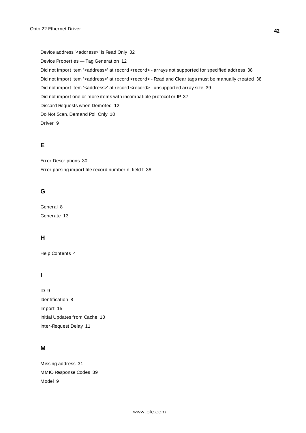Device address '<address>' is Read Only [32](#page-31-2) Device Properties — Tag Generation [12](#page-11-0) Did not import item '<address>' at record <record> - arrays not supported for specified address [38](#page-37-0) Did not import item '<address>' at record <record> - Read and Clear tags must be manually created [38](#page-37-1) Did not import item '<address>' at record <record> - unsupported array size [39](#page-38-0) Did not import one or more items with incompatible protocol or IP [37](#page-36-0) Discard Requests when Demoted [12](#page-11-3) Do Not Scan, Demand Poll Only [10](#page-9-3) Driver [9](#page-8-3)

### **E**

Error Descriptions [30](#page-29-0) Error parsing import file record number n, field f [38](#page-37-2)

### **G**

General [8](#page-7-0) Generate [13](#page-12-1)

### **H**

Help Contents [4](#page-3-0)

### **I**

ID [9](#page-8-4) Identification [8](#page-7-0) Import [15](#page-14-0) Initial Updates from Cache [10](#page-9-4) Inter-Request Delay [11](#page-10-3)

## **M**

Missing address [31](#page-30-0) MMIO Response Codes [39](#page-38-1) Model [9](#page-8-5)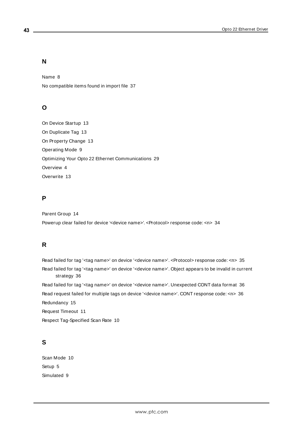### **N**

Name [8](#page-7-1) No compatible items found in import file [37](#page-36-1)

### **O**

On Device Startup [13](#page-12-2) On Duplicate Tag [13](#page-12-3) On Property Change [13](#page-12-4) Operating Mode [9](#page-8-0) Optimizing Your Opto 22 Ethernet Communications [29](#page-28-0) Overview [4](#page-3-1) Overwrite [13](#page-12-5)

### **P**

Parent Group [14](#page-13-3) Powerup clear failed for device '<device name>'. <Protocol> response code: <n> [34](#page-33-2)

### **R**

Read failed for tag '<tag name>' on device '<device name>'. <Protocol> response code: <n> [35](#page-34-1) Read failed for tag '<tag name>' on device '<device name>'. Object appears to be invalid in current strategy [36](#page-35-0) Read failed for tag '<tag name>' on device '<device name>'. Unexpected CONT data format [36](#page-35-1) Read request failed for multiple tags on device '<device name>'. CONT response code: <n> [36](#page-35-2) Redundancy [15](#page-14-1) Request Timeout [11](#page-10-4) Respect Tag-Specified Scan Rate [10](#page-9-5)

### **S**

Scan Mode [10](#page-9-6) Setup [5](#page-4-0) Simulated [9](#page-8-6)